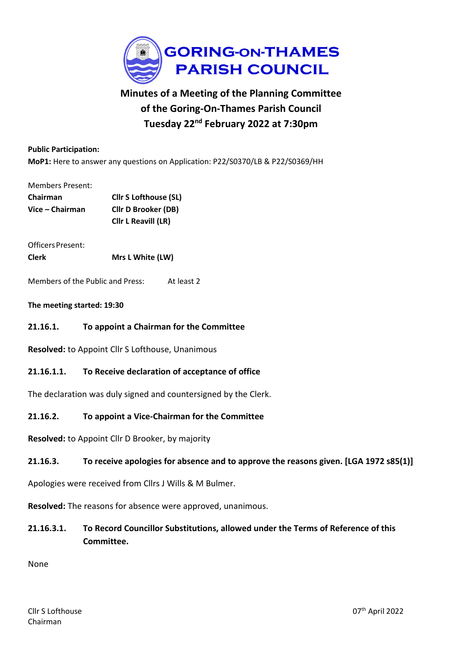

# **Minutes of a Meeting of the Planning Committee of the Goring-On-Thames Parish Council Tuesday 22nd February 2022 at 7:30pm**

#### **Public Participation:**

**MoP1:** Here to answer any questions on Application: P22/S0370/LB & P22/S0369/HH

#### Members Present:

| Chairman        | <b>Cllr S Lofthouse (SL)</b> |
|-----------------|------------------------------|
| Vice – Chairman | <b>Cllr D Brooker (DB)</b>   |
|                 | Cllr L Reavill (LR)          |

Officers Present: **Clerk Mrs L White (LW)**

Members of the Public and Press: At least 2

#### **The meeting started: 19:30**

**21.16.1. To appoint a Chairman for the Committee**

**Resolved:** to Appoint Cllr S Lofthouse, Unanimous

#### **21.16.1.1. To Receive declaration of acceptance of office**

The declaration was duly signed and countersigned by the Clerk.

#### **21.16.2. To appoint a Vice-Chairman for the Committee**

**Resolved:** to Appoint Cllr D Brooker, by majority

#### **21.16.3. To receive apologies for absence and to approve the reasons given. [LGA 1972 s85(1)]**

Apologies were received from Cllrs J Wills & M Bulmer.

**Resolved:** The reasons for absence were approved, unanimous.

**21.16.3.1. To Record Councillor Substitutions, allowed under the Terms of Reference of this Committee.**

None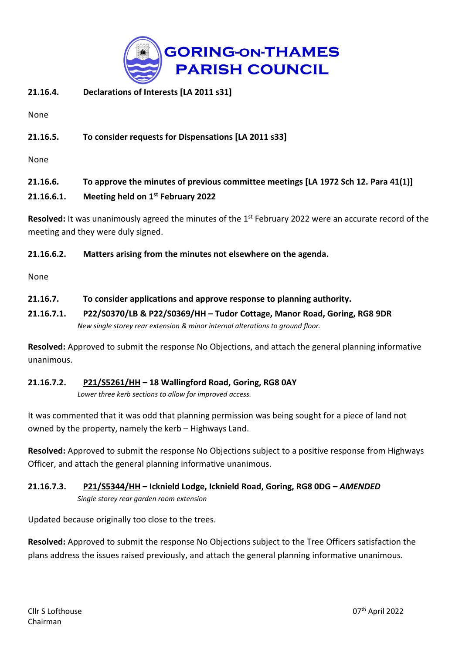

## **21.16.4. Declarations of Interests [LA 2011 s31]**

None

## **21.16.5. To consider requests for Dispensations [LA 2011 s33]**

None

## **21.16.6. To approve the minutes of previous committee meetings [LA 1972 Sch 12. Para 41(1)] 21.16.6.1. Meeting held on 1 st February 2022**

Resolved: It was unanimously agreed the minutes of the 1<sup>st</sup> February 2022 were an accurate record of the meeting and they were duly signed.

## **21.16.6.2. Matters arising from the minutes not elsewhere on the agenda.**

None

## **21.16.7. To consider applications and approve response to planning authority.**

## **21.16.7.1. [P22/S0370/LB](https://data.southoxon.gov.uk/ccm/support/Main.jsp?MODULE=ApplicationDetails&REF=P22/S0370/LB) & [P22/S0369/HH](https://data.southoxon.gov.uk/ccm/support/Main.jsp?MODULE=ApplicationDetails&REF=P22/S0369/HH) – Tudor Cottage, Manor Road, Goring, RG8 9DR** *New single storey rear extension & minor internal alterations to ground floor.*

**Resolved:** Approved to submit the response No Objections, and attach the general planning informative unanimous.

# **21.16.7.2. [P21/S5261/HH](https://data.southoxon.gov.uk/ccm/support/Main.jsp?MODULE=ApplicationDetails&REF=P21/S5261/HH) – 18 Wallingford Road, Goring, RG8 0AY**

*Lower three kerb sections to allow for improved access.*

It was commented that it was odd that planning permission was being sought for a piece of land not owned by the property, namely the kerb – Highways Land.

**Resolved:** Approved to submit the response No Objections subject to a positive response from Highways Officer, and attach the general planning informative unanimous.

## **21.16.7.3. [P21/S5344/HH](https://data.southoxon.gov.uk/ccm/support/Main.jsp?MODULE=ApplicationDetails&REF=P21/S5344/HH) – Icknield Lodge, Icknield Road, Goring, RG8 0DG –** *AMENDED Single storey rear garden room extension*

Updated because originally too close to the trees.

**Resolved:** Approved to submit the response No Objections subject to the Tree Officers satisfaction the plans address the issues raised previously, and attach the general planning informative unanimous.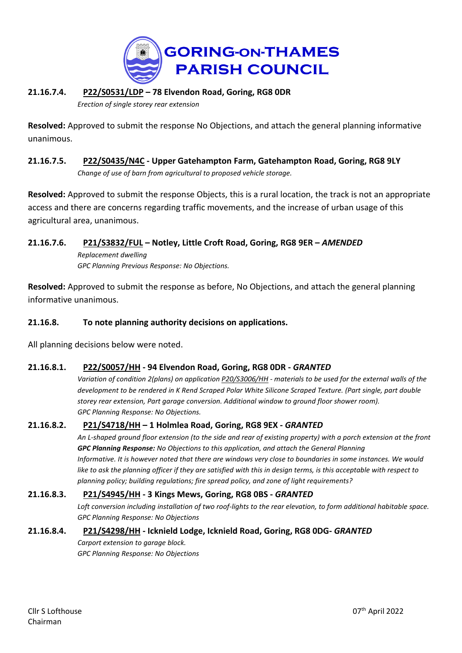

## **21.16.7.4. [P22/S0531/LDP](https://data.southoxon.gov.uk/ccm/support/Main.jsp?MODULE=ApplicationDetails&REF=P22/S0531/LDP) – 78 Elvendon Road, Goring, RG8 0DR**

*Erection of single storey rear extension*

**Resolved:** Approved to submit the response No Objections, and attach the general planning informative unanimous.

**21.16.7.5. [P22/S0435/N4C](https://data.southoxon.gov.uk/ccm/support/Main.jsp?MODULE=ApplicationDetails&REF=P22/S0435/N4C) - Upper Gatehampton Farm, Gatehampton Road, Goring, RG8 9LY** *Change of use of barn from agricultural to proposed vehicle storage.*

**Resolved:** Approved to submit the response Objects, this is a rural location, the track is not an appropriate access and there are concerns regarding traffic movements, and the increase of urban usage of this agricultural area, unanimous.

## **21.16.7.6. [P21/S3832/FUL](https://data.southoxon.gov.uk/ccm/support/Main.jsp?MODULE=ApplicationDetails&REF=P21/S3832/FUL) – Notley, Little Croft Road, Goring, RG8 9ER –** *AMENDED*

*Replacement dwelling GPC Planning Previous Response: No Objections.*

**Resolved:** Approved to submit the response as before, No Objections, and attach the general planning informative unanimous.

## **21.16.8. To note planning authority decisions on applications.**

All planning decisions below were noted.

## **21.16.8.1. [P22/S0057/HH](https://data.southoxon.gov.uk/ccm/support/Main.jsp?MODULE=ApplicationDetails&REF=P22/S0057/HH) - 94 Elvendon Road, Goring, RG8 0DR -** *GRANTED*

Variation of condition 2(plans) on application [P20/S3006/HH](https://data.southoxon.gov.uk/ccm/support/Main.jsp?MODULE=ApplicationDetails&REF=P20/S3006/HH) - materials to be used for the external walls of the development to be rendered in K Rend Scraped Polar White Silicone Scraped Texture. (Part single, part double *storey rear extension, Part garage conversion. Additional window to ground floor shower room). GPC Planning Response: No Objections.*

## **21.16.8.2. [P21/S4718/HH](https://data.southoxon.gov.uk/ccm/support/Main.jsp?MODULE=ApplicationDetails&REF=P21/S4718/HH) – 1 Holmlea Road, Goring, RG8 9EX -** *GRANTED*

An L-shaped ground floor extension (to the side and rear of existing property) with a porch extension at the front *GPC Planning Response: No Objections to this application, and attach the General Planning* Informative. It is however noted that there are windows very close to boundaries in some instances. We would like to ask the planning officer if they are satisfied with this in design terms, is this acceptable with respect to *planning policy; building regulations; fire spread policy, and zone of light requirements?*

## **21.16.8.3. [P21/S4945/HH](https://data.southoxon.gov.uk/ccm/support/Main.jsp?MODULE=ApplicationDetails&REF=P21/S4945/HH) - 3 Kings Mews, Goring, RG8 0BS -** *GRANTED*

Loft conversion including installation of two roof-lights to the rear elevation, to form additional habitable space. *GPC Planning Response: No Objections*

#### **21.16.8.4. [P21/S4298/HH](https://data.southoxon.gov.uk/ccm/support/Main.jsp?MODULE=ApplicationDetails&REF=P21/S4298/HH) - Icknield Lodge, Icknield Road, Goring, RG8 0DG-** *GRANTED*

*Carport extension to garage block. GPC Planning Response: No Objections*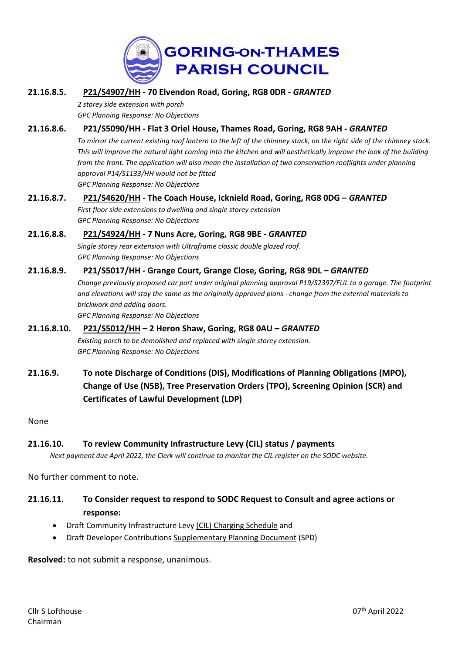

**21.16.8.5. [P21/S4907/HH](https://data.southoxon.gov.uk/ccm/support/Main.jsp?MODULE=ApplicationDetails&REF=P21/S4907/HH) - 70 Elvendon Road, Goring, RG8 0DR -** *GRANTED*

*2 storey side extension with porch GPC Planning Response: No Objections*

- **21.16.8.6. [P21/S5090/HH](https://data.southoxon.gov.uk/ccm/support/Main.jsp?MODULE=ApplicationDetails&REF=P21/S5090/HH) - Flat 3 Oriel House, Thames Road, Goring, RG8 9AH -** *GRANTED* To mirror the current existing roof lantern to the left of the chimney stack, on the right side of the chimney stack. This will improve the natural light coming into the kitchen and will aesthetically improve the look of the building *from the front. The application will also mean the installation of two conservation rooflights under planning approval P14/S1133/HH would not be fitted GPC Planning Response: No Objections*
- **21.16.8.7. [P21/S4620/HH](https://data.southoxon.gov.uk/ccm/support/Main.jsp?MODULE=ApplicationDetails&REF=P21/S4620/HH) - The Coach House, Icknield Road, Goring, RG8 0DG –** *GRANTED First floor side extensions to dwelling and single storey extension GPC Planning Response: No Objections*

## **21.16.8.8. [P21/S4924/HH](https://data.southoxon.gov.uk/ccm/support/Main.jsp?MODULE=ApplicationDetails&REF=P21/S4924/HH) - 7 Nuns Acre, Goring, RG8 9BE -** *GRANTED* *Single storey rear extension with Ultraframe classic double glazed roof. GPC Planning Response: No Objections*

## **21.16.8.9. [P21/S5017/HH](https://data.southoxon.gov.uk/ccm/support/Main.jsp?MODULE=ApplicationDetails&REF=P21/S5017/HH) - Grange Court, Grange Close, Goring, RG8 9DL –** *GRANTED*

*Change previously proposed car port under original planning approval P19/S2397/FUL to a garage. The footprint* and elevations will stay the same as the originally approved plans - change from the external materials to *brickwork and adding doors.*

*GPC Planning Response: No Objections*

- **21.16.8.10. [P21/S5012/HH](https://data.southoxon.gov.uk/ccm/support/Main.jsp?MODULE=ApplicationDetails&REF=P21/S5012/HH) – 2 Heron Shaw, Goring, RG8 0AU –** *GRANTED Existing porch to be demolished and replaced with single storey extension. GPC Planning Response: No Objections*
- **21.16.9. To note Discharge of Conditions (DIS), Modifications of Planning Obligations (MPO), Change of Use (N5B), Tree Preservation Orders (TPO), Screening Opinion (SCR) and Certificates of Lawful Development (LDP)**

None

## **21.16.10. To review Community Infrastructure Levy (CIL) status / payments**

Next payment due April 2022, the Clerk will continue to monitor the CIL register on the SODC website.

No further comment to note.

## **21.16.11. To Consider request to respond to SODC Request to Consult and agree actions or response:**

- Draft Community Infrastructure Levy (CIL) Charging [Schedule](https://www.southoxon.gov.uk/south-oxfordshire-district-council/planning-and-development/local-plan-and-planning-policies/community-infrastructure-levy-cil-charging-schedule/) and
- Draft Developer Contributions [Supplementary](https://www.southoxon.gov.uk/south-oxfordshire-district-council/planning-and-development/local-plan-and-planning-policies/spds-and-spgs/developer-contributions-spd/) Planning Document (SPD)

**Resolved:** to not submit a response, unanimous.